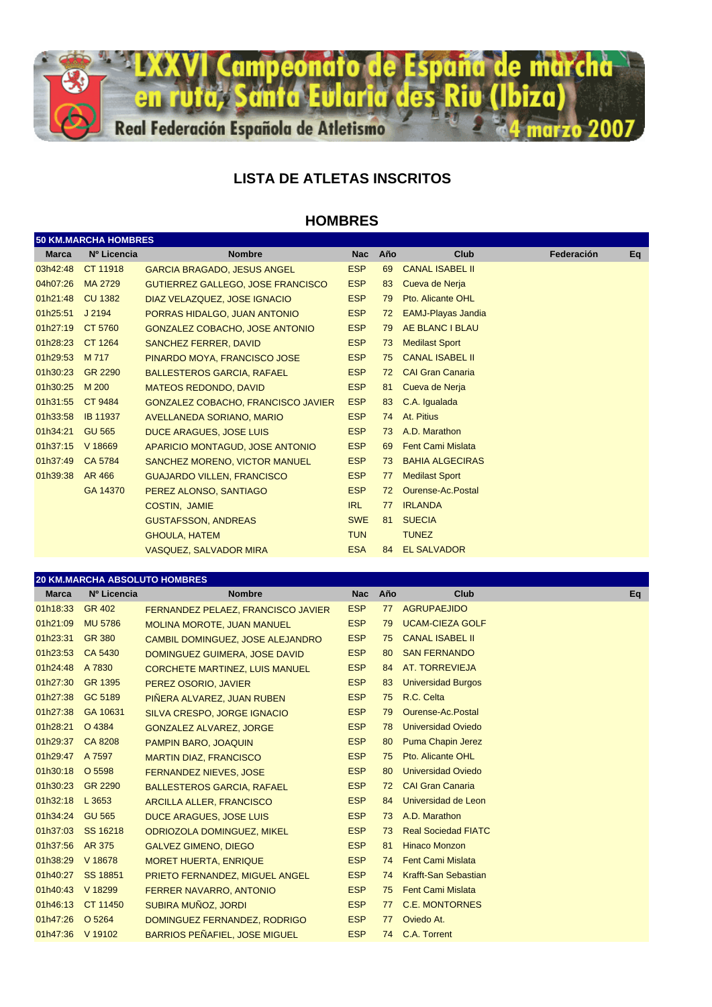

# **LISTA DE ATLETAS INSCRITOS**

## **HOMBRES**

|              | <b>50 KM.MARCHA HOMBRES</b> |                                    |            |     |                           |            |    |
|--------------|-----------------------------|------------------------------------|------------|-----|---------------------------|------------|----|
| <b>Marca</b> | Nº Licencia                 | <b>Nombre</b>                      | <b>Nac</b> | Año | <b>Club</b>               | Federación | Eq |
| 03h42:48     | CT 11918                    | <b>GARCIA BRAGADO, JESUS ANGEL</b> | <b>ESP</b> | 69  | <b>CANAL ISABEL II</b>    |            |    |
| 04h07:26     | MA 2729                     | GUTIERREZ GALLEGO, JOSE FRANCISCO  | <b>ESP</b> | 83  | Cueva de Nerja            |            |    |
| 01h21:48     | <b>CU 1382</b>              | DIAZ VELAZQUEZ, JOSE IGNACIO       | <b>ESP</b> | 79  | Pto. Alicante OHL         |            |    |
| 01h25:51     | J 2194                      | PORRAS HIDALGO, JUAN ANTONIO       | <b>ESP</b> | 72  | <b>EAMJ-Playas Jandia</b> |            |    |
|              | 01h27:19 CT 5760            | GONZALEZ COBACHO, JOSE ANTONIO     | <b>ESP</b> | 79  | AE BLANC I BLAU           |            |    |
| 01h28:23     | CT 1264                     | <b>SANCHEZ FERRER, DAVID</b>       | <b>ESP</b> | 73  | <b>Medilast Sport</b>     |            |    |
| 01h29:53     | M 717                       | PINARDO MOYA, FRANCISCO JOSE       | <b>ESP</b> | 75  | <b>CANAL ISABEL II</b>    |            |    |
| 01h30:23     | GR 2290                     | <b>BALLESTEROS GARCIA, RAFAEL</b>  | <b>ESP</b> | 72  | <b>CAI Gran Canaria</b>   |            |    |
| 01h30:25     | M 200                       | <b>MATEOS REDONDO, DAVID</b>       | <b>ESP</b> | 81  | Cueva de Nerja            |            |    |
| 01h31:55     | CT 9484                     | GONZALEZ COBACHO, FRANCISCO JAVIER | <b>ESP</b> | 83  | C.A. Igualada             |            |    |
| 01h33:58     | <b>IB 11937</b>             | AVELLANEDA SORIANO, MARIO          | <b>ESP</b> | 74  | At. Pitius                |            |    |
| 01h34:21     | <b>GU 565</b>               | DUCE ARAGUES, JOSE LUIS            | <b>ESP</b> | 73  | A.D. Marathon             |            |    |
| 01h37:15     | V 18669                     | APARICIO MONTAGUD, JOSE ANTONIO    | <b>ESP</b> | 69  | <b>Fent Cami Mislata</b>  |            |    |
| 01h37:49     | CA 5784                     | SANCHEZ MORENO, VICTOR MANUEL      | <b>ESP</b> | 73  | <b>BAHIA ALGECIRAS</b>    |            |    |
| 01h39:38     | AR 466                      | <b>GUAJARDO VILLEN, FRANCISCO</b>  | <b>ESP</b> | 77  | <b>Medilast Sport</b>     |            |    |
|              | GA 14370                    | PEREZ ALONSO, SANTIAGO             | <b>ESP</b> | 72  | Ourense-Ac.Postal         |            |    |
|              |                             | <b>COSTIN, JAMIE</b>               | <b>IRL</b> | 77  | <b>IRLANDA</b>            |            |    |
|              |                             | <b>GUSTAFSSON, ANDREAS</b>         | <b>SWE</b> | 81  | <b>SUECIA</b>             |            |    |
|              |                             | <b>GHOULA, HATEM</b>               | <b>TUN</b> |     | <b>TUNEZ</b>              |            |    |
|              |                             | <b>VASQUEZ, SALVADOR MIRA</b>      | <b>ESA</b> | 84  | <b>EL SALVADOR</b>        |            |    |

|                 | <b>20 KM.MARCHA ABSOLUTO HOMBRES</b> |                                       |            |     |                            |    |  |  |  |  |  |  |
|-----------------|--------------------------------------|---------------------------------------|------------|-----|----------------------------|----|--|--|--|--|--|--|
| <b>Marca</b>    | Nº Licencia                          | <b>Nombre</b>                         | <b>Nac</b> | Año | Club                       | Eq |  |  |  |  |  |  |
| 01h18:33        | GR 402                               | FERNANDEZ PELAEZ, FRANCISCO JAVIER    | <b>ESP</b> | 77  | <b>AGRUPAEJIDO</b>         |    |  |  |  |  |  |  |
| 01h21:09        | <b>MU 5786</b>                       | <b>MOLINA MOROTE, JUAN MANUEL</b>     | <b>ESP</b> | 79  | <b>UCAM-CIEZA GOLF</b>     |    |  |  |  |  |  |  |
| 01h23:31        | <b>GR 380</b>                        | CAMBIL DOMINGUEZ, JOSE ALEJANDRO      | <b>ESP</b> | 75  | <b>CANAL ISABEL II</b>     |    |  |  |  |  |  |  |
| 01h23:53        | CA 5430                              | DOMINGUEZ GUIMERA, JOSE DAVID         | <b>ESP</b> | 80  | <b>SAN FERNANDO</b>        |    |  |  |  |  |  |  |
| 01h24:48        | A 7830                               | <b>CORCHETE MARTINEZ, LUIS MANUEL</b> | <b>ESP</b> | 84  | AT. TORREVIEJA             |    |  |  |  |  |  |  |
| 01h27:30        | GR 1395                              | PEREZ OSORIO, JAVIER                  | <b>ESP</b> | 83  | <b>Universidad Burgos</b>  |    |  |  |  |  |  |  |
| 01h27:38        | GC 5189                              | PIÑERA ALVAREZ, JUAN RUBEN            | <b>ESP</b> | 75  | R.C. Celta                 |    |  |  |  |  |  |  |
| 01h27:38        | GA 10631                             | SILVA CRESPO, JORGE IGNACIO           | <b>ESP</b> | 79  | Ourense-Ac.Postal          |    |  |  |  |  |  |  |
| 01h28:21        | O 4384                               | <b>GONZALEZ ALVAREZ, JORGE</b>        | <b>ESP</b> | 78  | <b>Universidad Oviedo</b>  |    |  |  |  |  |  |  |
| 01h29:37        | CA 8208                              | <b>PAMPIN BARO, JOAQUIN</b>           | <b>ESP</b> | 80  | <b>Puma Chapin Jerez</b>   |    |  |  |  |  |  |  |
| 01h29:47        | A 7597                               | <b>MARTIN DIAZ, FRANCISCO</b>         | <b>ESP</b> | 75  | Pto. Alicante OHL          |    |  |  |  |  |  |  |
| 01h30:18        | O 5598                               | <b>FERNANDEZ NIEVES, JOSE</b>         | <b>ESP</b> | 80  | <b>Universidad Oviedo</b>  |    |  |  |  |  |  |  |
| 01h30:23        | GR 2290                              | <b>BALLESTEROS GARCIA, RAFAEL</b>     | <b>ESP</b> | 72  | <b>CAI Gran Canaria</b>    |    |  |  |  |  |  |  |
| 01h32:18        | L 3653                               | <b>ARCILLA ALLER, FRANCISCO</b>       | <b>ESP</b> | 84  | Universidad de Leon        |    |  |  |  |  |  |  |
| 01h34:24 GU 565 |                                      | DUCE ARAGUES, JOSE LUIS               | <b>ESP</b> | 73  | A.D. Marathon              |    |  |  |  |  |  |  |
| 01h37:03        | SS 16218                             | ODRIOZOLA DOMINGUEZ, MIKEL            | <b>ESP</b> | 73  | <b>Real Sociedad FIATC</b> |    |  |  |  |  |  |  |
| 01h37:56        | AR 375                               | <b>GALVEZ GIMENO, DIEGO</b>           | <b>ESP</b> | 81  | <b>Hinaco Monzon</b>       |    |  |  |  |  |  |  |
| 01h38:29        | V 18678                              | <b>MORET HUERTA, ENRIQUE</b>          | <b>ESP</b> | 74  | <b>Fent Cami Mislata</b>   |    |  |  |  |  |  |  |
| 01h40:27        | SS 18851                             | PRIETO FERNANDEZ, MIGUEL ANGEL        | <b>ESP</b> | 74  | Krafft-San Sebastian       |    |  |  |  |  |  |  |
| 01h40:43        | V 18299                              | <b>FERRER NAVARRO, ANTONIO</b>        | <b>ESP</b> | 75  | <b>Fent Cami Mislata</b>   |    |  |  |  |  |  |  |
| 01h46:13        | CT 11450                             | SUBIRA MUÑOZ, JORDI                   | <b>ESP</b> | 77  | <b>C.E. MONTORNES</b>      |    |  |  |  |  |  |  |
| 01h47:26        | O 5264                               | DOMINGUEZ FERNANDEZ, RODRIGO          | <b>ESP</b> | 77  | Oviedo At.                 |    |  |  |  |  |  |  |
| 01h47:36        | V 19102                              | <b>BARRIOS PEÑAFIEL, JOSE MIGUEL</b>  | <b>ESP</b> | 74  | C.A. Torrent               |    |  |  |  |  |  |  |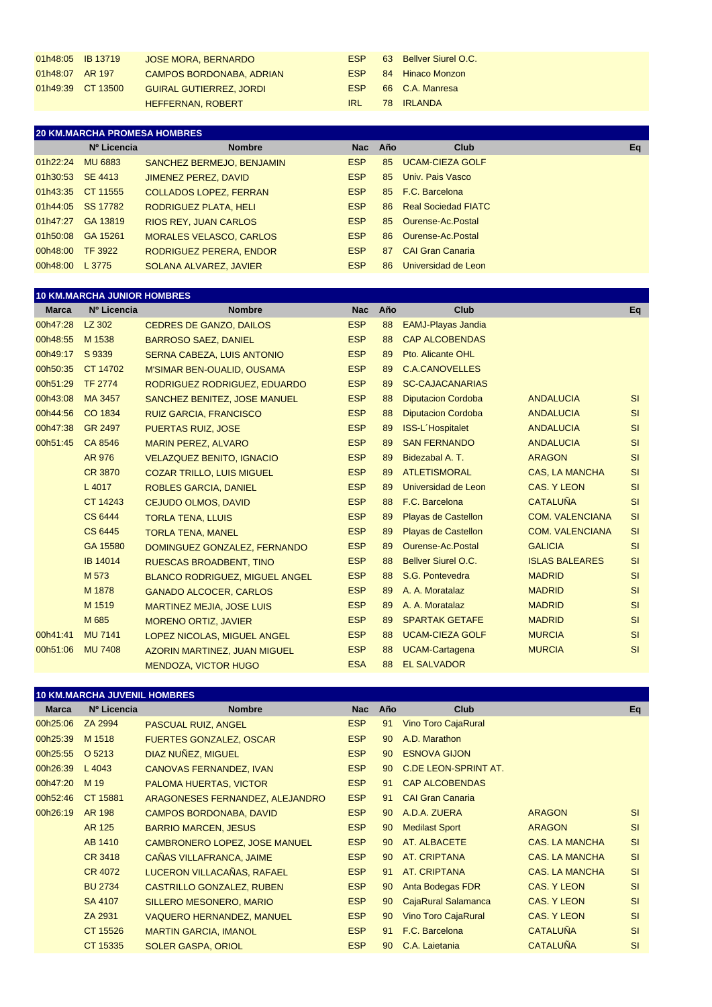| 01h48:05 IB 13719 |                   | <b>JOSE MORA, BERNARDO</b>     | <b>FSP</b> |    | 63 Bellver Siurel O.C. |
|-------------------|-------------------|--------------------------------|------------|----|------------------------|
| 01h48:07 AR 197   |                   | CAMPOS BORDONABA, ADRIAN       | <b>FSP</b> | 84 | Hinaco Monzon          |
|                   | 01h49:39 CT 13500 | <b>GUIRAL GUTIERREZ, JORDI</b> | <b>FSP</b> |    | 66 C.A. Manresa        |
|                   |                   | HEFFERNAN, ROBERT              | IRL.       |    | 78 IRLANDA             |

|                   | <b>20 KM.MARCHA PROMESA HOMBRES</b> |                                |            |         |                            |    |  |  |  |  |
|-------------------|-------------------------------------|--------------------------------|------------|---------|----------------------------|----|--|--|--|--|
|                   | Nº Licencia                         | <b>Nombre</b>                  |            | Nac Año | Club                       | Eq |  |  |  |  |
| 01h22:24          | <b>MU 6883</b>                      | SANCHEZ BERMEJO, BENJAMIN      | <b>ESP</b> | 85      | <b>UCAM-CIEZA GOLF</b>     |    |  |  |  |  |
| 01h30:53 SE 4413  |                                     | <b>JIMENEZ PEREZ, DAVID</b>    | <b>ESP</b> | 85      | Univ. Pais Vasco           |    |  |  |  |  |
| 01h43:35 CT 11555 |                                     | <b>COLLADOS LOPEZ, FERRAN</b>  | <b>ESP</b> | 85      | F.C. Barcelona             |    |  |  |  |  |
|                   | 01h44:05 SS 17782                   | <b>RODRIGUEZ PLATA, HELI</b>   | <b>ESP</b> | 86      | <b>Real Sociedad FIATC</b> |    |  |  |  |  |
| 01h47:27          | GA 13819                            | <b>RIOS REY. JUAN CARLOS</b>   | <b>ESP</b> |         | 85 Ourense-Ac. Postal      |    |  |  |  |  |
| 01h50:08 GA 15261 |                                     | <b>MORALES VELASCO, CARLOS</b> | <b>ESP</b> | 86      | Ourense-Ac.Postal          |    |  |  |  |  |
| 00h48:00 TF 3922  |                                     | RODRIGUEZ PERERA, ENDOR        | <b>ESP</b> | 87      | <b>CAI Gran Canaria</b>    |    |  |  |  |  |
| 00h48:00          | L 3775                              | SOLANA ALVAREZ, JAVIER         | <b>ESP</b> | 86      | Universidad de Leon        |    |  |  |  |  |

|              | <b>10 KM.MARCHA JUNIOR HOMBRES</b> |                                       |            |     |                            |                        |           |
|--------------|------------------------------------|---------------------------------------|------------|-----|----------------------------|------------------------|-----------|
| <b>Marca</b> | Nº Licencia                        | <b>Nombre</b>                         | <b>Nac</b> | Año | Club                       |                        | Eq        |
| 00h47:28     | LZ 302                             | <b>CEDRES DE GANZO, DAILOS</b>        | <b>ESP</b> | 88  | <b>EAMJ-Playas Jandia</b>  |                        |           |
| 00h48:55     | M 1538                             | <b>BARROSO SAEZ, DANIEL</b>           | <b>ESP</b> | 88  | <b>CAP ALCOBENDAS</b>      |                        |           |
| 00h49:17     | S 9339                             | SERNA CABEZA, LUIS ANTONIO            | <b>ESP</b> | 89  | Pto. Alicante OHL          |                        |           |
| 00h50:35     | CT 14702                           | <b>M'SIMAR BEN-OUALID, OUSAMA</b>     | <b>ESP</b> | 89  | <b>C.A.CANOVELLES</b>      |                        |           |
| 00h51:29     | <b>TF 2774</b>                     | RODRIGUEZ RODRIGUEZ, EDUARDO          | <b>ESP</b> | 89  | <b>SC-CAJACANARIAS</b>     |                        |           |
| 00h43:08     | MA 3457                            | SANCHEZ BENITEZ, JOSE MANUEL          | <b>ESP</b> | 88  | <b>Diputacion Cordoba</b>  | <b>ANDALUCIA</b>       | SI        |
| 00h44:56     | CO 1834                            | <b>RUIZ GARCIA, FRANCISCO</b>         | <b>ESP</b> | 88  | <b>Diputacion Cordoba</b>  | <b>ANDALUCIA</b>       | SI        |
| 00h47:38     | GR 2497                            | <b>PUERTAS RUIZ, JOSE</b>             | <b>ESP</b> | 89  | <b>ISS-L'Hospitalet</b>    | <b>ANDALUCIA</b>       | SI        |
| 00h51:45     | CA 8546                            | <b>MARIN PEREZ, ALVARO</b>            | <b>ESP</b> | 89  | <b>SAN FERNANDO</b>        | <b>ANDALUCIA</b>       | SI        |
|              | <b>AR 976</b>                      | <b>VELAZQUEZ BENITO, IGNACIO</b>      | <b>ESP</b> | 89  | Bidezabal A. T.            | <b>ARAGON</b>          | SI        |
|              | <b>CR 3870</b>                     | <b>COZAR TRILLO, LUIS MIGUEL</b>      | <b>ESP</b> | 89  | <b>ATLETISMORAL</b>        | <b>CAS, LA MANCHA</b>  | SI        |
|              | L 4017                             | <b>ROBLES GARCIA, DANIEL</b>          | <b>ESP</b> | 89  | Universidad de Leon        | <b>CAS. Y LEON</b>     | SI        |
|              | CT 14243                           | <b>CEJUDO OLMOS, DAVID</b>            | <b>ESP</b> | 88  | F.C. Barcelona             | <b>CATALUÑA</b>        | SI        |
|              | <b>CS 6444</b>                     | <b>TORLA TENA, LLUIS</b>              | <b>ESP</b> | 89  | Playas de Castellon        | <b>COM. VALENCIANA</b> | <b>SI</b> |
|              | <b>CS 6445</b>                     | <b>TORLA TENA, MANEL</b>              | <b>ESP</b> | 89  | Playas de Castellon        | <b>COM. VALENCIANA</b> | <b>SI</b> |
|              | GA 15580                           | DOMINGUEZ GONZALEZ, FERNANDO          | <b>ESP</b> | 89  | Ourense-Ac.Postal          | <b>GALICIA</b>         | <b>SI</b> |
|              | <b>IB 14014</b>                    | <b>RUESCAS BROADBENT, TINO</b>        | <b>ESP</b> | 88  | <b>Bellver Siurel O.C.</b> | <b>ISLAS BALEARES</b>  | SI        |
|              | M 573                              | <b>BLANCO RODRIGUEZ, MIGUEL ANGEL</b> | <b>ESP</b> | 88  | S.G. Pontevedra            | <b>MADRID</b>          | SI        |
|              | M 1878                             | <b>GANADO ALCOCER, CARLOS</b>         | <b>ESP</b> | 89  | A. A. Moratalaz            | <b>MADRID</b>          | SI        |
|              | M 1519                             | <b>MARTINEZ MEJIA, JOSE LUIS</b>      | <b>ESP</b> | 89  | A. A. Moratalaz            | <b>MADRID</b>          | SI        |
|              | M 685                              | <b>MORENO ORTIZ, JAVIER</b>           | <b>ESP</b> | 89  | <b>SPARTAK GETAFE</b>      | <b>MADRID</b>          | SI        |
| 00h41:41     | <b>MU 7141</b>                     | LOPEZ NICOLAS, MIGUEL ANGEL           | <b>ESP</b> | 88  | <b>UCAM-CIEZA GOLF</b>     | <b>MURCIA</b>          | SI        |
| 00h51:06     | <b>MU 7408</b>                     | <b>AZORIN MARTINEZ, JUAN MIGUEL</b>   | <b>ESP</b> | 88  | <b>UCAM-Cartagena</b>      | <b>MURCIA</b>          | SI        |
|              |                                    | <b>MENDOZA, VICTOR HUGO</b>           | <b>ESA</b> | 88  | <b>EL SALVADOR</b>         |                        |           |
|              |                                    |                                       |            |     |                            |                        |           |

|              | <b>10 KM.MARCHA JUVENIL HOMBRES</b> |                                  |            |     |                             |                       |           |
|--------------|-------------------------------------|----------------------------------|------------|-----|-----------------------------|-----------------------|-----------|
| <b>Marca</b> | Nº Licencia                         | <b>Nombre</b>                    | <b>Nac</b> | Año | <b>Club</b>                 |                       | Eq        |
| 00h25:06     | ZA 2994                             | <b>PASCUAL RUIZ, ANGEL</b>       | <b>ESP</b> | 91  | <b>Vino Toro CajaRural</b>  |                       |           |
| 00h25:39     | M 1518                              | <b>FUERTES GONZALEZ, OSCAR</b>   | <b>ESP</b> | 90  | A.D. Marathon               |                       |           |
| 00h25:55     | O 5213                              | DIAZ NUÑEZ, MIGUEL               | <b>ESP</b> | 90  | <b>ESNOVA GIJON</b>         |                       |           |
| 00h26:39     | L 4043                              | <b>CANOVAS FERNANDEZ, IVAN</b>   | <b>ESP</b> | 90  | <b>C.DE LEON-SPRINT AT.</b> |                       |           |
| 00h47:20     | M 19                                | <b>PALOMA HUERTAS, VICTOR</b>    | <b>ESP</b> | 91  | <b>CAP ALCOBENDAS</b>       |                       |           |
| 00h52:46     | CT 15881                            | ARAGONESES FERNANDEZ, ALEJANDRO  | <b>ESP</b> | 91  | <b>CAI Gran Canaria</b>     |                       |           |
| 00h26:19     | AR 198                              | <b>CAMPOS BORDONABA, DAVID</b>   | <b>ESP</b> | 90  | A.D.A. ZUERA                | <b>ARAGON</b>         | <b>SI</b> |
|              | AR 125                              | <b>BARRIO MARCEN, JESUS</b>      | <b>ESP</b> | 90  | <b>Medilast Sport</b>       | <b>ARAGON</b>         | <b>SI</b> |
|              | AB 1410                             | CAMBRONERO LOPEZ, JOSE MANUEL    | <b>ESP</b> | 90  | AT. ALBACETE                | <b>CAS. LA MANCHA</b> | SI        |
|              | CR 3418                             | CAÑAS VILLAFRANCA, JAIME         | <b>ESP</b> | 90  | AT. CRIPTANA                | CAS. LA MANCHA        | <b>SI</b> |
|              | CR 4072                             | LUCERON VILLACAÑAS, RAFAEL       | <b>ESP</b> | 91  | AT. CRIPTANA                | <b>CAS. LA MANCHA</b> | <b>SI</b> |
|              | <b>BU 2734</b>                      | <b>CASTRILLO GONZALEZ, RUBEN</b> | <b>ESP</b> | 90  | Anta Bodegas FDR            | <b>CAS. Y LEON</b>    | SI        |
|              | SA 4107                             | SILLERO MESONERO, MARIO          | <b>ESP</b> | 90  | CajaRural Salamanca         | <b>CAS. Y LEON</b>    | <b>SI</b> |
|              | ZA 2931                             | <b>VAQUERO HERNANDEZ, MANUEL</b> | <b>ESP</b> | 90  | <b>Vino Toro CajaRural</b>  | <b>CAS, Y LEON</b>    | <b>SI</b> |
|              | CT 15526                            | <b>MARTIN GARCIA, IMANOL</b>     | <b>ESP</b> | 91  | F.C. Barcelona              | <b>CATALUÑA</b>       | <b>SI</b> |
|              | CT 15335                            | <b>SOLER GASPA, ORIOL</b>        | <b>ESP</b> | 90  | C.A. Laietania              | <b>CATALUÑA</b>       | <b>SI</b> |
|              |                                     |                                  |            |     |                             |                       |           |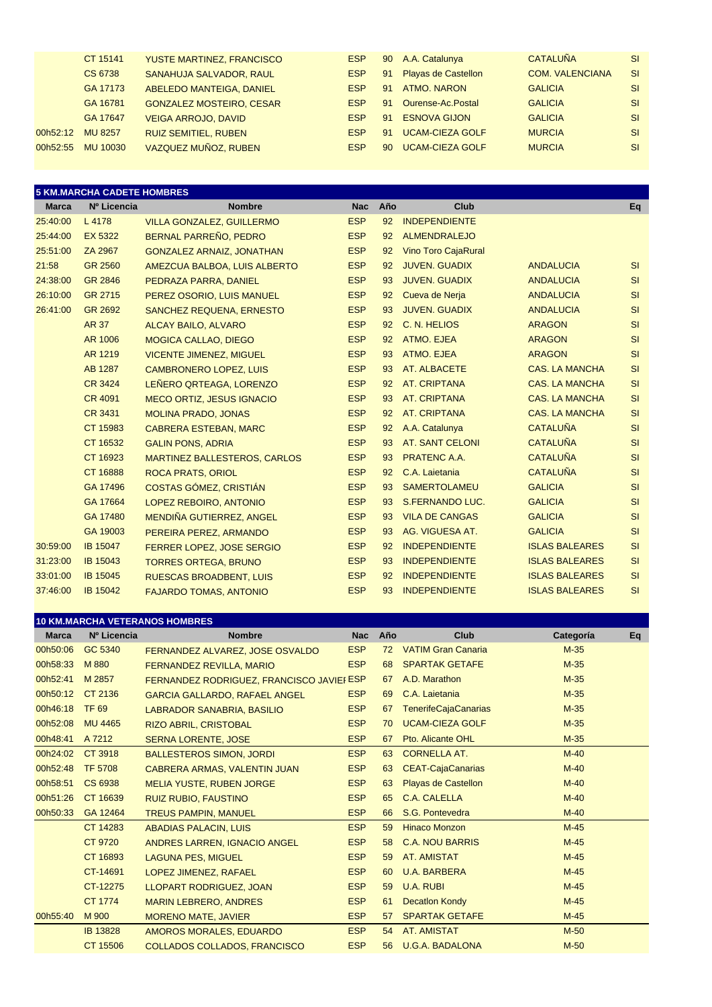|          | CT 15141       | YUSTE MARTINEZ, FRANCISCO       | ESP        | 90 | A.A. Catalunya             | <b>CATALUÑA</b>        | <b>SI</b> |
|----------|----------------|---------------------------------|------------|----|----------------------------|------------------------|-----------|
|          | CS 6738        | SANAHUJA SALVADOR, RAUL         | <b>ESP</b> | 91 | <b>Playas de Castellon</b> | <b>COM. VALENCIANA</b> | <b>SI</b> |
|          | GA 17173       | ABELEDO MANTEIGA, DANIEL        | ESP        | 91 | ATMO, NARON                | <b>GALICIA</b>         | <b>SI</b> |
|          | GA 16781       | <b>GONZALEZ MOSTEIRO, CESAR</b> | <b>FSP</b> | 91 | Ourense-Ac. Postal         | <b>GALICIA</b>         | <b>SI</b> |
|          | GA 17647       | VEIGA ARROJO, DAVID             | <b>ESP</b> | 91 | <b>ESNOVA GIJON</b>        | <b>GALICIA</b>         | <b>SI</b> |
| 00h52:12 | <b>MU 8257</b> | <b>RUIZ SEMITIEL, RUBEN</b>     | <b>ESP</b> | 91 | <b>UCAM-CIEZA GOLF</b>     | <b>MURCIA</b>          | <b>SI</b> |
| 00h52:55 | MU 10030       | VAZQUEZ MUÑOZ, RUBEN            | <b>ESP</b> | 90 | <b>UCAM-CIEZA GOLF</b>     | <b>MURCIA</b>          | <b>SI</b> |
|          |                |                                 |            |    |                            |                        |           |

|              | <b>5 KM.MARCHA CADETE HOMBRES</b> |                                     |            |     |                            |                       |           |  |  |  |
|--------------|-----------------------------------|-------------------------------------|------------|-----|----------------------------|-----------------------|-----------|--|--|--|
| <b>Marca</b> | Nº Licencia                       | <b>Nombre</b>                       | <b>Nac</b> | Año | Club                       |                       | Eq        |  |  |  |
| 25:40:00     | L 4178                            | <b>VILLA GONZALEZ, GUILLERMO</b>    | <b>ESP</b> | 92  | <b>INDEPENDIENTE</b>       |                       |           |  |  |  |
| 25:44:00     | <b>EX 5322</b>                    | BERNAL PARREÑO, PEDRO               | <b>ESP</b> | 92  | <b>ALMENDRALEJO</b>        |                       |           |  |  |  |
| 25:51:00     | ZA 2967                           | <b>GONZALEZ ARNAIZ, JONATHAN</b>    | <b>ESP</b> | 92  | <b>Vino Toro CajaRural</b> |                       |           |  |  |  |
| 21:58        | GR 2560                           | AMEZCUA BALBOA, LUIS ALBERTO        | <b>ESP</b> | 92  | <b>JUVEN, GUADIX</b>       | <b>ANDALUCIA</b>      | SI        |  |  |  |
| 24:38:00     | GR 2846                           | PEDRAZA PARRA, DANIEL               | <b>ESP</b> | 93  | <b>JUVEN. GUADIX</b>       | <b>ANDALUCIA</b>      | SI        |  |  |  |
| 26:10:00     | GR 2715                           | PEREZ OSORIO, LUIS MANUEL           | <b>ESP</b> | 92  | Cueva de Nerja             | <b>ANDALUCIA</b>      | SI        |  |  |  |
| 26:41:00     | GR 2692                           | SANCHEZ REQUENA, ERNESTO            | <b>ESP</b> | 93  | <b>JUVEN. GUADIX</b>       | <b>ANDALUCIA</b>      | SI        |  |  |  |
|              | <b>AR 37</b>                      | <b>ALCAY BAILO, ALVARO</b>          | <b>ESP</b> | 92  | C. N. HELIOS               | <b>ARAGON</b>         | SI        |  |  |  |
|              | AR 1006                           | <b>MOGICA CALLAO, DIEGO</b>         | <b>ESP</b> | 92  | ATMO. EJEA                 | <b>ARAGON</b>         | SI        |  |  |  |
|              | AR 1219                           | <b>VICENTE JIMENEZ, MIGUEL</b>      | <b>ESP</b> | 93  | ATMO. EJEA                 | <b>ARAGON</b>         | SI        |  |  |  |
|              | AB 1287                           | <b>CAMBRONERO LOPEZ, LUIS</b>       | <b>ESP</b> | 93  | AT. ALBACETE               | <b>CAS. LA MANCHA</b> | SI        |  |  |  |
|              | <b>CR 3424</b>                    | LEÑERO QRTEAGA, LORENZO             | <b>ESP</b> | 92  | AT. CRIPTANA               | <b>CAS. LA MANCHA</b> | SI        |  |  |  |
|              | <b>CR 4091</b>                    | <b>MECO ORTIZ, JESUS IGNACIO</b>    | <b>ESP</b> | 93  | <b>AT. CRIPTANA</b>        | <b>CAS. LA MANCHA</b> | SI        |  |  |  |
|              | CR 3431                           | <b>MOLINA PRADO, JONAS</b>          | <b>ESP</b> | 92  | <b>AT. CRIPTANA</b>        | <b>CAS. LA MANCHA</b> | SI        |  |  |  |
|              | CT 15983                          | <b>CABRERA ESTEBAN, MARC</b>        | <b>ESP</b> | 92  | A.A. Catalunya             | <b>CATALUÑA</b>       | SI        |  |  |  |
|              | CT 16532                          | <b>GALIN PONS, ADRIA</b>            | <b>ESP</b> | 93  | <b>AT. SANT CELONI</b>     | <b>CATALUÑA</b>       | SI        |  |  |  |
|              | CT 16923                          | <b>MARTINEZ BALLESTEROS, CARLOS</b> | <b>ESP</b> | 93  | <b>PRATENC A.A.</b>        | <b>CATALUÑA</b>       | SI        |  |  |  |
|              | CT 16888                          | <b>ROCA PRATS, ORIOL</b>            | <b>ESP</b> | 92  | C.A. Laietania             | <b>CATALUÑA</b>       | SI        |  |  |  |
|              | GA 17496                          | <b>COSTAS GÓMEZ, CRISTIÁN</b>       | <b>ESP</b> | 93  | <b>SAMERTOLAMEU</b>        | <b>GALICIA</b>        | SI        |  |  |  |
|              | GA 17664                          | LOPEZ REBOIRO, ANTONIO              | <b>ESP</b> | 93  | S.FERNANDO LUC.            | <b>GALICIA</b>        | SI        |  |  |  |
|              | GA 17480                          | MENDIÑA GUTIERREZ, ANGEL            | <b>ESP</b> | 93  | <b>VILA DE CANGAS</b>      | <b>GALICIA</b>        | SI        |  |  |  |
|              | GA 19003                          | PEREIRA PEREZ, ARMANDO              | <b>ESP</b> | 93  | AG. VIGUESA AT.            | <b>GALICIA</b>        | SI        |  |  |  |
| 30:59:00     | <b>IB 15047</b>                   | <b>FERRER LOPEZ, JOSE SERGIO</b>    | <b>ESP</b> | 92  | <b>INDEPENDIENTE</b>       | <b>ISLAS BALEARES</b> | SI        |  |  |  |
| 31:23:00     | <b>IB 15043</b>                   | <b>TORRES ORTEGA, BRUNO</b>         | <b>ESP</b> | 93  | <b>INDEPENDIENTE</b>       | <b>ISLAS BALEARES</b> | SI        |  |  |  |
| 33:01:00     | IB 15045                          | <b>RUESCAS BROADBENT, LUIS</b>      | <b>ESP</b> | 92  | <b>INDEPENDIENTE</b>       | <b>ISLAS BALEARES</b> | SI        |  |  |  |
| 37:46:00     | <b>IB 15042</b>                   | <b>FAJARDO TOMAS, ANTONIO</b>       | <b>ESP</b> | 93  | <b>INDEPENDIENTE</b>       | <b>ISLAS BALEARES</b> | <b>SI</b> |  |  |  |

|              |                 | <b>10 KM.MARCHA VETERANOS HOMBRES</b>     |            |     |                             |           |    |
|--------------|-----------------|-------------------------------------------|------------|-----|-----------------------------|-----------|----|
| <b>Marca</b> | Nº Licencia     | <b>Nombre</b>                             | <b>Nac</b> | Año | <b>Club</b>                 | Categoría | Eq |
| 00h50:06     | GC 5340         | FERNANDEZ ALVAREZ, JOSE OSVALDO           | <b>ESP</b> | 72  | <b>VATIM Gran Canaria</b>   | $M-35$    |    |
| 00h58:33     | M 880           | <b>FERNANDEZ REVILLA, MARIO</b>           | <b>ESP</b> | 68  | <b>SPARTAK GETAFE</b>       | $M-35$    |    |
| 00h52:41     | M 2857          | FERNANDEZ RODRIGUEZ, FRANCISCO JAVIEI ESP |            | 67  | A.D. Marathon               | $M-35$    |    |
| 00h50:12     | CT 2136         | <b>GARCIA GALLARDO, RAFAEL ANGEL</b>      | <b>ESP</b> | 69  | C.A. Laietania              | $M-35$    |    |
| 00h46:18     | <b>TF 69</b>    | LABRADOR SANABRIA, BASILIO                | <b>ESP</b> | 67  | <b>TenerifeCajaCanarias</b> | $M-35$    |    |
| 00h52:08     | <b>MU 4465</b>  | <b>RIZO ABRIL, CRISTOBAL</b>              | <b>ESP</b> | 70  | <b>UCAM-CIEZA GOLF</b>      | $M-35$    |    |
| 00h48:41     | A 7212          | <b>SERNA LORENTE, JOSE</b>                | <b>ESP</b> | 67  | Pto. Alicante OHL           | $M-35$    |    |
| 00h24:02     | CT 3918         | <b>BALLESTEROS SIMON, JORDI</b>           | <b>ESP</b> | 63  | <b>CORNELLA AT.</b>         | $M-40$    |    |
| 00h52:48     | <b>TF 5708</b>  | CABRERA ARMAS, VALENTIN JUAN              | <b>ESP</b> | 63  | <b>CEAT-CajaCanarias</b>    | $M-40$    |    |
| 00h58:51     | CS 6938         | <b>MELIA YUSTE, RUBEN JORGE</b>           | <b>ESP</b> | 63  | Playas de Castellon         | $M-40$    |    |
| 00h51:26     | CT 16639        | <b>RUIZ RUBIO, FAUSTINO</b>               | <b>ESP</b> | 65  | <b>C.A. CALELLA</b>         | $M-40$    |    |
| 00h50:33     | GA 12464        | <b>TREUS PAMPIN, MANUEL</b>               | <b>ESP</b> | 66  | S.G. Pontevedra             | $M-40$    |    |
|              | CT 14283        | <b>ABADIAS PALACIN. LUIS</b>              | <b>ESP</b> | 59  | <b>Hinaco Monzon</b>        | $M-45$    |    |
|              | CT 9720         | ANDRES LARREN, IGNACIO ANGEL              | <b>ESP</b> | 58  | <b>C.A. NOU BARRIS</b>      | $M-45$    |    |
|              | CT 16893        | <b>LAGUNA PES, MIGUEL</b>                 | <b>ESP</b> | 59  | <b>AT. AMISTAT</b>          | $M-45$    |    |
|              | CT-14691        | LOPEZ JIMENEZ, RAFAEL                     | <b>ESP</b> | 60  | <b>U.A. BARBERA</b>         | $M-45$    |    |
|              | CT-12275        | LLOPART RODRIGUEZ, JOAN                   | <b>ESP</b> | 59  | <b>U.A. RUBI</b>            | $M-45$    |    |
|              | <b>CT 1774</b>  | <b>MARIN LEBRERO, ANDRES</b>              | <b>ESP</b> | 61  | Decation Kondy              | $M-45$    |    |
| 00h55:40     | M 900           | <b>MORENO MATE, JAVIER</b>                | <b>ESP</b> | 57  | <b>SPARTAK GETAFE</b>       | $M-45$    |    |
|              | <b>IB 13828</b> | AMOROS MORALES, EDUARDO                   | <b>ESP</b> | 54  | AT. AMISTAT                 | $M-50$    |    |
|              | CT 15506        | <b>COLLADOS COLLADOS, FRANCISCO</b>       | <b>ESP</b> | 56  | <b>U.G.A. BADALONA</b>      | $M-50$    |    |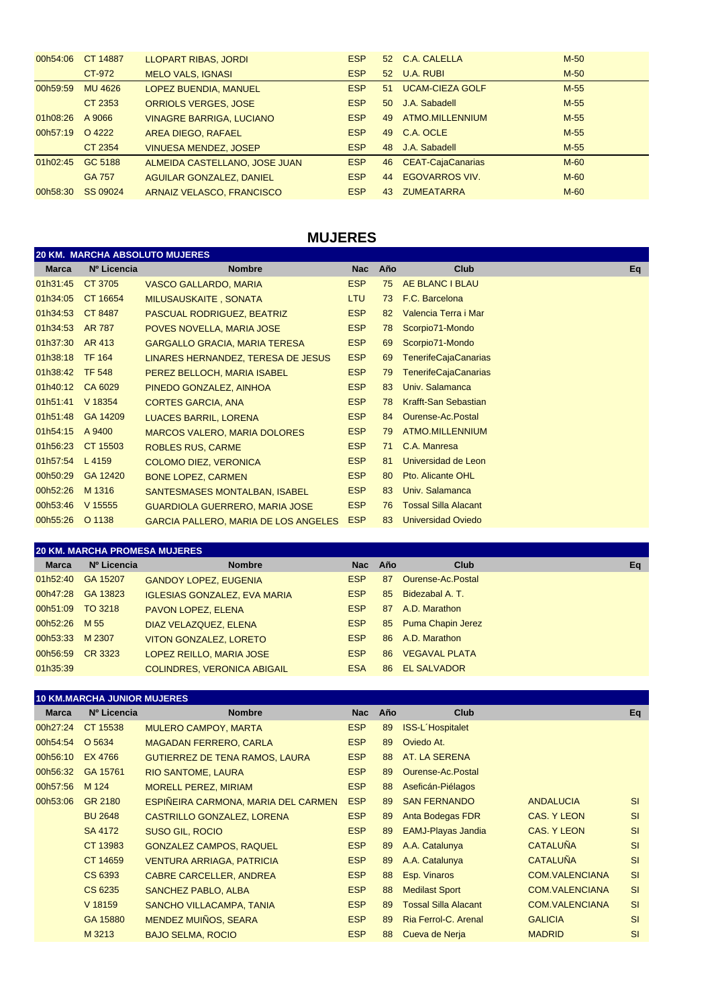| 00h54:06        | CT 14887 | <b>LLOPART RIBAS, JORDI</b>     | <b>ESP</b> | 52 <sub>2</sub> | C.A. CALELLA             | $M-50$ |
|-----------------|----------|---------------------------------|------------|-----------------|--------------------------|--------|
|                 | CT-972   | <b>MELO VALS, IGNASI</b>        | <b>ESP</b> |                 | 52 U.A. RUBI             | $M-50$ |
| 00h59:59        | MU 4626  | LOPEZ BUENDIA, MANUEL           | <b>ESP</b> | 51              | <b>UCAM-CIEZA GOLF</b>   | $M-55$ |
|                 | CT 2353  | <b>ORRIOLS VERGES, JOSE</b>     | <b>ESP</b> | 50              | J.A. Sabadell            | $M-55$ |
| 01h08:26        | A 9066   | <b>VINAGRE BARRIGA, LUCIANO</b> | <b>ESP</b> | 49              | ATMO.MILLENNIUM          | $M-55$ |
| 00h57:19 O 4222 |          | <b>AREA DIEGO, RAFAEL</b>       | <b>ESP</b> | 49              | C.A. OCLE                | $M-55$ |
|                 | CT 2354  | <b>VINUESA MENDEZ, JOSEP</b>    | <b>ESP</b> | 48              | J.A. Sabadell            | $M-55$ |
| 01h02:45        | GC 5188  | ALMEIDA CASTELLANO, JOSE JUAN   | <b>ESP</b> | 46              | <b>CEAT-CajaCanarias</b> | $M-60$ |
|                 | GA 757   | AGUILAR GONZALEZ, DANIEL        | <b>ESP</b> | 44              | <b>EGOVARROS VIV.</b>    | $M-60$ |
| 00h58:30        | SS 09024 | ARNAIZ VELASCO, FRANCISCO       | <b>ESP</b> | 43              | <b>ZUMEATARRA</b>        | $M-60$ |

# **MUJERES**

|                 |             | ZU KM. MARCHA ABSOLUTO MUJERES              |            |     |                             |    |
|-----------------|-------------|---------------------------------------------|------------|-----|-----------------------------|----|
| <b>Marca</b>    | Nº Licencia | <b>Nombre</b>                               | <b>Nac</b> | Año | <b>Club</b>                 | Eq |
| 01h31:45        | CT 3705     | <b>VASCO GALLARDO, MARIA</b>                | <b>ESP</b> | 75  | AE BLANC I BLAU             |    |
| 01h34:05        | CT 16654    | <b>MILUSAUSKAITE, SONATA</b>                | <b>LTU</b> | 73  | F.C. Barcelona              |    |
| 01h34:53        | CT 8487     | PASCUAL RODRIGUEZ, BEATRIZ                  | <b>ESP</b> | 82  | Valencia Terra i Mar        |    |
| 01h34:53        | AR 787      | POVES NOVELLA, MARIA JOSE                   | <b>ESP</b> | 78  | Scorpio71-Mondo             |    |
| 01h37:30        | AR 413      | <b>GARGALLO GRACIA, MARIA TERESA</b>        | <b>ESP</b> | 69  | Scorpio71-Mondo             |    |
| 01h38:18        | TF 164      | LINARES HERNANDEZ, TERESA DE JESUS          | <b>ESP</b> | 69  | <b>TenerifeCajaCanarias</b> |    |
| 01h38:42 TF 548 |             | PEREZ BELLOCH, MARIA ISABEL                 | <b>ESP</b> | 79  | <b>TenerifeCajaCanarias</b> |    |
| 01h40:12        | CA 6029     | PINEDO GONZALEZ, AINHOA                     | <b>ESP</b> | 83  | Univ. Salamanca             |    |
| 01h51:41        | $V$ 18354   | <b>CORTES GARCIA, ANA</b>                   | <b>ESP</b> | 78  | <b>Krafft-San Sebastian</b> |    |
| 01h51:48        | GA 14209    | <b>LUACES BARRIL, LORENA</b>                | <b>ESP</b> | 84  | Ourense-Ac.Postal           |    |
| 01h54:15        | A 9400      | <b>MARCOS VALERO, MARIA DOLORES</b>         | <b>ESP</b> | 79  | ATMO.MILLENNIUM             |    |
| 01h56:23        | CT 15503    | <b>ROBLES RUS, CARME</b>                    | <b>ESP</b> | 71  | C.A. Manresa                |    |
| 01h57:54        | L 4159      | <b>COLOMO DIEZ, VERONICA</b>                | <b>ESP</b> | 81  | Universidad de Leon         |    |
| 00h50:29        | GA 12420    | <b>BONE LOPEZ, CARMEN</b>                   | <b>ESP</b> | 80  | Pto. Alicante OHL           |    |
| 00h52:26        | M 1316      | <b>SANTESMASES MONTALBAN, ISABEL</b>        | <b>ESP</b> | 83  | Univ. Salamanca             |    |
| 00h53:46        | V 15555     | <b>GUARDIOLA GUERRERO, MARIA JOSE</b>       | <b>ESP</b> | 76  | <b>Tossal Silla Alacant</b> |    |
| 00h55:26        | O 1138      | <b>GARCIA PALLERO, MARIA DE LOS ANGELES</b> | <b>ESP</b> | 83  | Universidad Oviedo          |    |

### **20 KM. MARCHA PROMESA MUJERES**

**20 KM. MARCHA ABSOLUTO MUJERES**

| <b>Marca</b> | Nº Licencia       | <b>Nombre</b>                       |            | Nac Año | Club                 | Eq |
|--------------|-------------------|-------------------------------------|------------|---------|----------------------|----|
|              | 01h52:40 GA 15207 | <b>GANDOY LOPEZ, EUGENIA</b>        | ESP        | 87      | Ourense-Ac.Postal    |    |
| 00h47:28     | GA 13823          | <b>IGLESIAS GONZALEZ, EVA MARIA</b> | <b>ESP</b> | 85      | Bidezabal A. T.      |    |
| 00h51:09     | TO 3218           | <b>PAVON LOPEZ, ELENA</b>           | <b>ESP</b> | 87      | A.D. Marathon        |    |
| 00h52:26     | M 55              | DIAZ VELAZQUEZ, ELENA               | <b>ESP</b> |         | 85 Puma Chapin Jerez |    |
| 00h53:33     | M 2307            | <b>VITON GONZALEZ, LORETO</b>       | <b>ESP</b> | 86      | A.D. Marathon        |    |
| 00h56:59     | CR 3323           | LOPEZ REILLO, MARIA JOSE            | <b>ESP</b> | 86      | <b>VEGAVAL PLATA</b> |    |
| 01h35:39     |                   | <b>COLINDRES, VERONICA ABIGAIL</b>  | <b>ESA</b> | 86      | <b>EL SALVADOR</b>   |    |

## **10 KM.MARCHA JUNIOR MUJERES**

| <b>Marca</b> | Nº Licencia    | <b>Nombre</b>                         | <b>Nac</b> | Año | Club                        |                       | Eq        |
|--------------|----------------|---------------------------------------|------------|-----|-----------------------------|-----------------------|-----------|
| 00h27:24     | CT 15538       | <b>MULERO CAMPOY, MARTA</b>           | <b>ESP</b> | 89  | <b>ISS-L'Hospitalet</b>     |                       |           |
| 00h54:54     | O 5634         | <b>MAGADAN FERRERO, CARLA</b>         | <b>ESP</b> | 89  | Oviedo At.                  |                       |           |
| 00h56:10     | EX 4766        | <b>GUTIERREZ DE TENA RAMOS, LAURA</b> | <b>ESP</b> | 88  | AT. LA SERENA               |                       |           |
| 00h56:32     | GA 15761       | <b>RIO SANTOME, LAURA</b>             | <b>ESP</b> | 89  | Ourense-Ac.Postal           |                       |           |
| 00h57:56     | M 124          | <b>MORELL PEREZ, MIRIAM</b>           | <b>ESP</b> | 88  | Aseficán-Piélagos           |                       |           |
| 00h53:06     | GR 2180        | ESPIÑEIRA CARMONA, MARIA DEL CARMEN   | <b>ESP</b> | 89  | <b>SAN FERNANDO</b>         | <b>ANDALUCIA</b>      | <b>SI</b> |
|              | <b>BU 2648</b> | CASTRILLO GONZALEZ, LORENA            | <b>ESP</b> | 89  | <b>Anta Bodegas FDR</b>     | CAS. Y LEON           | <b>SI</b> |
|              | SA 4172        | SUSO GIL, ROCIO                       | <b>ESP</b> | 89  | <b>EAMJ-Playas Jandia</b>   | <b>CAS. Y LEON</b>    | <b>SI</b> |
|              | CT 13983       | <b>GONZALEZ CAMPOS, RAQUEL</b>        | <b>ESP</b> | 89  | A.A. Catalunya              | <b>CATALUÑA</b>       | SI        |
|              | CT 14659       | <b>VENTURA ARRIAGA, PATRICIA</b>      | <b>ESP</b> | 89  | A.A. Catalunya              | <b>CATALUÑA</b>       | SI        |
|              | <b>CS 6393</b> | <b>CABRE CARCELLER, ANDREA</b>        | <b>ESP</b> | 88  | Esp. Vinaros                | <b>COM.VALENCIANA</b> | <b>SI</b> |
|              | CS 6235        | SANCHEZ PABLO, ALBA                   | <b>ESP</b> | 88  | <b>Medilast Sport</b>       | <b>COM.VALENCIANA</b> | <b>SI</b> |
|              | V 18159        | <b>SANCHO VILLACAMPA, TANIA</b>       | <b>ESP</b> | 89  | <b>Tossal Silla Alacant</b> | <b>COM.VALENCIANA</b> | <b>SI</b> |
|              | GA 15880       | MENDEZ MUIÑOS, SEARA                  | <b>ESP</b> | 89  | Ria Ferrol-C. Arenal        | <b>GALICIA</b>        | <b>SI</b> |
|              | M 3213         | <b>BAJO SELMA, ROCIO</b>              | <b>ESP</b> | 88  | Cueva de Nerja              | <b>MADRID</b>         | <b>SI</b> |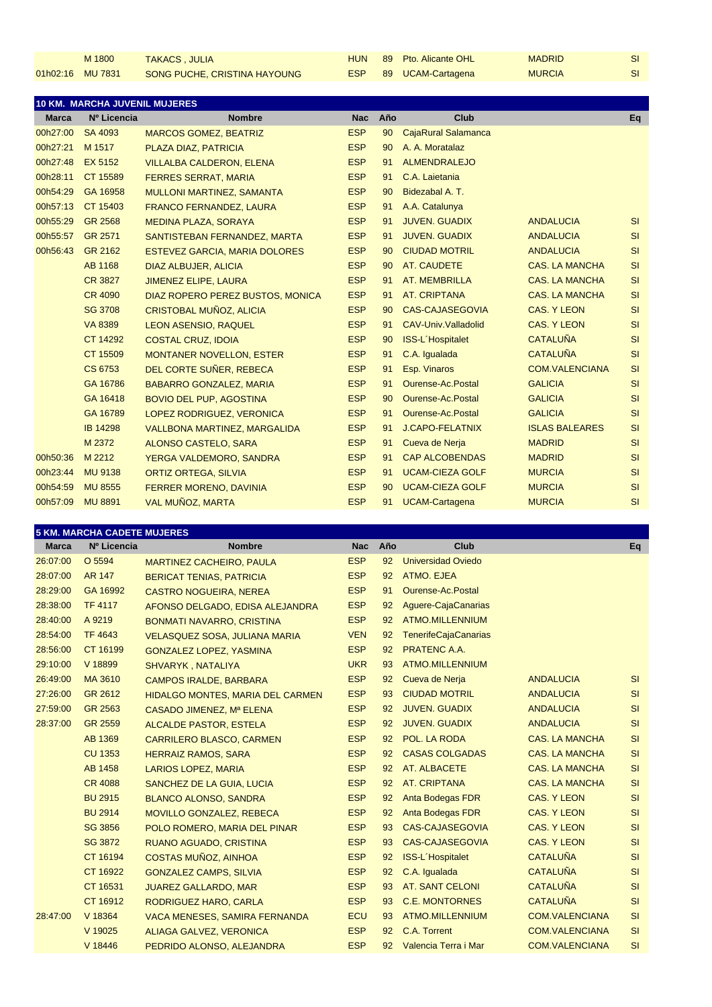|                  | M 1800 | <b>TAKACS, JULIA</b>         | <b>HUN</b> | 89 Pto. Alicante OHL | <b>MADRID</b> | SI. |
|------------------|--------|------------------------------|------------|----------------------|---------------|-----|
| 01h02:16 MU 7831 |        | SONG PUCHE, CRISTINA HAYOUNG | <b>ESP</b> | 89 UCAM-Cartagena    | <b>MURCIA</b> | SI. |

|              | <b>10 KM. MARCHA JUVENIL MUJERES</b> |                                      |            |     |                          |                       |    |  |  |  |
|--------------|--------------------------------------|--------------------------------------|------------|-----|--------------------------|-----------------------|----|--|--|--|
| <b>Marca</b> | Nº Licencia                          | <b>Nombre</b>                        | <b>Nac</b> | Año | Club                     |                       | Eq |  |  |  |
| 00h27:00     | SA 4093                              | <b>MARCOS GOMEZ, BEATRIZ</b>         | <b>ESP</b> | 90  | CajaRural Salamanca      |                       |    |  |  |  |
| 00h27:21     | M 1517                               | PLAZA DIAZ, PATRICIA                 | <b>ESP</b> | 90  | A. A. Moratalaz          |                       |    |  |  |  |
| 00h27:48     | EX 5152                              | <b>VILLALBA CALDERON, ELENA</b>      | <b>ESP</b> | 91  | <b>ALMENDRALEJO</b>      |                       |    |  |  |  |
| 00h28:11     | CT 15589                             | <b>FERRES SERRAT, MARIA</b>          | <b>ESP</b> | 91  | C.A. Laietania           |                       |    |  |  |  |
| 00h54:29     | GA 16958                             | MULLONI MARTINEZ, SAMANTA            | <b>ESP</b> | 90  | Bidezabal A.T.           |                       |    |  |  |  |
| 00h57:13     | CT 15403                             | <b>FRANCO FERNANDEZ, LAURA</b>       | <b>ESP</b> | 91  | A.A. Catalunya           |                       |    |  |  |  |
| 00h55:29     | GR 2568                              | <b>MEDINA PLAZA, SORAYA</b>          | <b>ESP</b> | 91  | <b>JUVEN. GUADIX</b>     | <b>ANDALUCIA</b>      | SI |  |  |  |
| 00h55:57     | GR 2571                              | SANTISTEBAN FERNANDEZ, MARTA         | <b>ESP</b> | 91  | <b>JUVEN. GUADIX</b>     | <b>ANDALUCIA</b>      | SI |  |  |  |
| 00h56:43     | GR 2162                              | <b>ESTEVEZ GARCIA, MARIA DOLORES</b> | <b>ESP</b> | 90  | <b>CIUDAD MOTRIL</b>     | <b>ANDALUCIA</b>      | SI |  |  |  |
|              | <b>AB 1168</b>                       | DIAZ ALBUJER, ALICIA                 | <b>ESP</b> | 90  | AT. CAUDETE              | <b>CAS. LA MANCHA</b> | SI |  |  |  |
|              | <b>CR 3827</b>                       | <b>JIMENEZ ELIPE, LAURA</b>          | <b>ESP</b> | 91  | AT. MEMBRILLA            | <b>CAS. LA MANCHA</b> | SI |  |  |  |
|              | <b>CR 4090</b>                       | DIAZ ROPERO PEREZ BUSTOS, MONICA     | <b>ESP</b> | 91  | <b>AT. CRIPTANA</b>      | <b>CAS. LA MANCHA</b> | SI |  |  |  |
|              | <b>SG 3708</b>                       | CRISTOBAL MUÑOZ, ALICIA              | <b>ESP</b> | 90  | <b>CAS-CAJASEGOVIA</b>   | <b>CAS. Y LEON</b>    | SI |  |  |  |
|              | <b>VA 8389</b>                       | <b>LEON ASENSIO, RAQUEL</b>          | <b>ESP</b> | 91  | CAV-Univ.Valladolid      | <b>CAS. Y LEON</b>    | SI |  |  |  |
|              | CT 14292                             | <b>COSTAL CRUZ, IDOIA</b>            | <b>ESP</b> | 90  | <b>ISS-L'Hospitalet</b>  | <b>CATALUÑA</b>       | SI |  |  |  |
|              | CT 15509                             | <b>MONTANER NOVELLON, ESTER</b>      | <b>ESP</b> | 91  | C.A. Igualada            | <b>CATALUÑA</b>       | SI |  |  |  |
|              | <b>CS 6753</b>                       | DEL CORTE SUÑER, REBECA              | <b>ESP</b> | 91  | Esp. Vinaros             | <b>COM.VALENCIANA</b> | SI |  |  |  |
|              | GA 16786                             | <b>BABARRO GONZALEZ, MARIA</b>       | <b>ESP</b> | 91  | <b>Ourense-Ac.Postal</b> | <b>GALICIA</b>        | SI |  |  |  |
|              | GA 16418                             | <b>BOVIO DEL PUP, AGOSTINA</b>       | <b>ESP</b> | 90  | <b>Ourense-Ac.Postal</b> | <b>GALICIA</b>        | SI |  |  |  |
|              | GA 16789                             | LOPEZ RODRIGUEZ, VERONICA            | <b>ESP</b> | 91  | <b>Ourense-Ac.Postal</b> | <b>GALICIA</b>        | SI |  |  |  |
|              | <b>IB 14298</b>                      | <b>VALLBONA MARTINEZ, MARGALIDA</b>  | <b>ESP</b> | 91  | <b>J.CAPO-FELATNIX</b>   | <b>ISLAS BALEARES</b> | SI |  |  |  |
|              | M 2372                               | ALONSO CASTELO, SARA                 | <b>ESP</b> | 91  | Cueva de Nerja           | <b>MADRID</b>         | SI |  |  |  |
| 00h50:36     | M 2212                               | YERGA VALDEMORO, SANDRA              | <b>ESP</b> | 91  | <b>CAP ALCOBENDAS</b>    | <b>MADRID</b>         | SI |  |  |  |
| 00h23:44     | <b>MU 9138</b>                       | <b>ORTIZ ORTEGA, SILVIA</b>          | <b>ESP</b> | 91  | <b>UCAM-CIEZA GOLF</b>   | <b>MURCIA</b>         | SI |  |  |  |
| 00h54:59     | <b>MU 8555</b>                       | <b>FERRER MORENO, DAVINIA</b>        | <b>ESP</b> | 90  | <b>UCAM-CIEZA GOLF</b>   | <b>MURCIA</b>         | SI |  |  |  |
| 00h57:09     | <b>MU 8891</b>                       | VAL MUÑOZ, MARTA                     | <b>ESP</b> | 91  | <b>UCAM-Cartagena</b>    | <b>MURCIA</b>         | SI |  |  |  |

## **5 KM. MARCHA CADETE MUJERES**

| <b>Marca</b> | Nº Licencia    | <b>Nombre</b>                           | <b>Nac</b> | Año | Club                        |                       | Eq        |
|--------------|----------------|-----------------------------------------|------------|-----|-----------------------------|-----------------------|-----------|
| 26:07:00     | O 5594         | <b>MARTINEZ CACHEIRO, PAULA</b>         | <b>ESP</b> | 92  | <b>Universidad Oviedo</b>   |                       |           |
| 28:07:00     | <b>AR 147</b>  | <b>BERICAT TENIAS, PATRICIA</b>         | <b>ESP</b> | 92  | ATMO. EJEA                  |                       |           |
| 28:29:00     | GA 16992       | <b>CASTRO NOGUEIRA, NEREA</b>           | <b>ESP</b> | 91  | Ourense-Ac.Postal           |                       |           |
| 28:38:00     | <b>TF 4117</b> | AFONSO DELGADO, EDISA ALEJANDRA         | <b>ESP</b> | 92  | Aguere-CajaCanarias         |                       |           |
| 28:40:00     | A 9219         | <b>BONMATI NAVARRO, CRISTINA</b>        | <b>ESP</b> | 92  | ATMO.MILLENNIUM             |                       |           |
| 28:54:00     | <b>TF 4643</b> | <b>VELASQUEZ SOSA, JULIANA MARIA</b>    | <b>VEN</b> | 92  | <b>TenerifeCajaCanarias</b> |                       |           |
| 28:56:00     | CT 16199       | <b>GONZALEZ LOPEZ, YASMINA</b>          | <b>ESP</b> | 92  | <b>PRATENC A.A.</b>         |                       |           |
| 29:10:00     | V 18899        | <b>SHVARYK, NATALIYA</b>                | <b>UKR</b> | 93  | ATMO.MILLENNIUM             |                       |           |
| 26:49:00     | MA 3610        | <b>CAMPOS IRALDE, BARBARA</b>           | <b>ESP</b> | 92  | Cueva de Nerja              | <b>ANDALUCIA</b>      | <b>SI</b> |
| 27:26:00     | GR 2612        | <b>HIDALGO MONTES, MARIA DEL CARMEN</b> | <b>ESP</b> | 93  | <b>CIUDAD MOTRIL</b>        | <b>ANDALUCIA</b>      | SI        |
| 27:59:00     | GR 2563        | CASADO JIMENEZ, Mª ELENA                | <b>ESP</b> | 92  | <b>JUVEN. GUADIX</b>        | <b>ANDALUCIA</b>      | SI        |
| 28:37:00     | GR 2559        | <b>ALCALDE PASTOR, ESTELA</b>           | <b>ESP</b> | 92  | <b>JUVEN. GUADIX</b>        | <b>ANDALUCIA</b>      | SI        |
|              | AB 1369        | <b>CARRILERO BLASCO, CARMEN</b>         | <b>ESP</b> | 92  | POL. LA RODA                | <b>CAS. LA MANCHA</b> | SI        |
|              | <b>CU 1353</b> | <b>HERRAIZ RAMOS, SARA</b>              | <b>ESP</b> | 92  | <b>CASAS COLGADAS</b>       | <b>CAS. LA MANCHA</b> | SI        |
|              | AB 1458        | <b>LARIOS LOPEZ, MARIA</b>              | <b>ESP</b> | 92  | AT. ALBACETE                | <b>CAS. LA MANCHA</b> | SI        |
|              | <b>CR 4088</b> | SANCHEZ DE LA GUIA, LUCIA               | <b>ESP</b> | 92  | <b>AT. CRIPTANA</b>         | <b>CAS. LA MANCHA</b> | SI        |
|              | <b>BU 2915</b> | <b>BLANCO ALONSO, SANDRA</b>            | <b>ESP</b> | 92  | Anta Bodegas FDR            | <b>CAS. Y LEON</b>    | SI        |
|              | <b>BU 2914</b> | MOVILLO GONZALEZ, REBECA                | <b>ESP</b> | 92  | <b>Anta Bodegas FDR</b>     | <b>CAS. Y LEON</b>    | SI        |
|              | <b>SG 3856</b> | POLO ROMERO, MARIA DEL PINAR            | <b>ESP</b> | 93  | <b>CAS-CAJASEGOVIA</b>      | <b>CAS. Y LEON</b>    | SI        |
|              | SG 3872        | RUANO AGUADO, CRISTINA                  | <b>ESP</b> | 93  | <b>CAS-CAJASEGOVIA</b>      | <b>CAS, Y LEON</b>    | SI        |
|              | CT 16194       | COSTAS MUÑOZ, AINHOA                    | <b>ESP</b> | 92  | <b>ISS-L'Hospitalet</b>     | <b>CATALUÑA</b>       | SI        |
|              | CT 16922       | <b>GONZALEZ CAMPS, SILVIA</b>           | <b>ESP</b> | 92  | C.A. Igualada               | <b>CATALUÑA</b>       | SI        |
|              | CT 16531       | <b>JUAREZ GALLARDO, MAR</b>             | <b>ESP</b> | 93  | <b>AT. SANT CELONI</b>      | <b>CATALUÑA</b>       | SI        |
|              | CT 16912       | RODRIGUEZ HARO, CARLA                   | <b>ESP</b> | 93  | <b>C.E. MONTORNES</b>       | <b>CATALUÑA</b>       | SI        |
| 28:47:00     | V 18364        | <b>VACA MENESES, SAMIRA FERNANDA</b>    | <b>ECU</b> | 93  | <b>ATMO.MILLENNIUM</b>      | <b>COM.VALENCIANA</b> | SI        |
|              | V 19025        | ALIAGA GALVEZ, VERONICA                 | <b>ESP</b> | 92  | C.A. Torrent                | <b>COM.VALENCIANA</b> | SI        |
|              | V 18446        | PEDRIDO ALONSO, ALEJANDRA               | <b>ESP</b> | 92  | Valencia Terra i Mar        | <b>COM.VALENCIANA</b> | SI        |